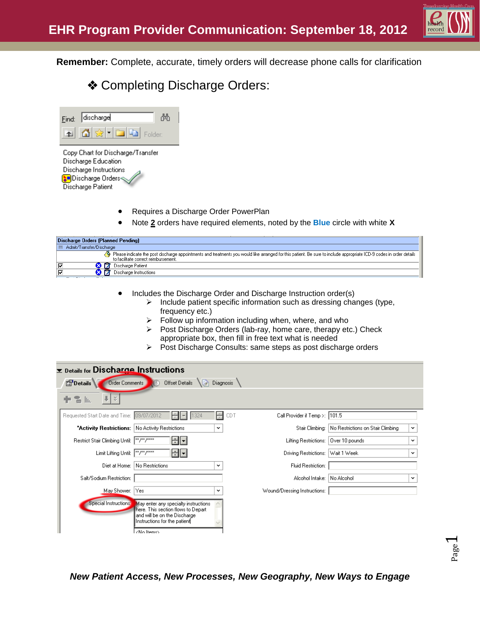

**Remember:** Complete, accurate, timely orders will decrease phone calls for clarification

# **❖ Completing Discharge Orders:**

| Find: discharge            |  |
|----------------------------|--|
| 4 G L<br><b>Eal</b> Folder |  |
| the control of the con-    |  |

Copy Chart for Discharge/Transfer Discharge Education Discharge Instructions **Discharge Orders** Discharge Patient

- Requires a Discharge Order PowerPlan
- Note **2** orders have required elements, noted by the **Blue** circle with white **X**

| Discharge Orders (Planned Pending)                 |                                                                                                                                                                                                              |  |  |  |
|----------------------------------------------------|--------------------------------------------------------------------------------------------------------------------------------------------------------------------------------------------------------------|--|--|--|
| │ El Admit/Transfer/Discharge                      |                                                                                                                                                                                                              |  |  |  |
|                                                    | Please indicate the post discharge appointments and treatments you would like arranged for this patient. Be sure to include appropriate ICD-9 codes in order details<br>to facilitate correct reimbursement. |  |  |  |
| ⊽                                                  | Discharge Patient                                                                                                                                                                                            |  |  |  |
| 17<br> ⊽<br><b>PO 12 PO 12 13</b><br>$\sim$ $\sim$ | Discharge Instructions                                                                                                                                                                                       |  |  |  |

- Includes the Discharge Order and Discharge Instruction order(s)
	- $\triangleright$  Include patient specific information such as dressing changes (type, frequency etc.)
	- $\triangleright$  Follow up information including when, where, and who
	- $\triangleright$  Post Discharge Orders (lab-ray, home care, therapy etc.) Check appropriate box, then fill in free text what is needed
	- Post Discharge Consults: same steps as post discharge orders

| <b>Example 15 Discharge Instructions</b>         |                                                                                                                                                                    |                                        |                                                   |              |
|--------------------------------------------------|--------------------------------------------------------------------------------------------------------------------------------------------------------------------|----------------------------------------|---------------------------------------------------|--------------|
| <b>PD</b> etails<br><b>Order Comments</b>        | Offset Details<br>۱à                                                                                                                                               | Diagnosis                              |                                                   |              |
| X,<br>To In                                      |                                                                                                                                                                    |                                        |                                                   |              |
| Requested Start Date and Time: 09/07/2012        | $\frac{1}{\tau}$<br>1324                                                                                                                                           | Call Provider if Temp >:  101.5<br>CDT |                                                   |              |
| "Activity Restrictions: No Activity Restrictions | v                                                                                                                                                                  |                                        | Stair Climbing: No Restrictions on Stair Climbing | $\checkmark$ |
| Restrict Stair Climbing Until:  **/**/****       | $\mathbf{r}$                                                                                                                                                       | Lifting Restrictions:                  | Over 10 pounds                                    | $\checkmark$ |
| Limit Lifting Until:                             | $\vert$ <sup>xx</sup> / <sup>xx</sup> / <sup>xxxx</sup><br>∣▼∣                                                                                                     | Driving Restrictions:                  | Wait 1 Week                                       | $\checkmark$ |
| Diet at Home:                                    | No Restrictions<br>$\checkmark$                                                                                                                                    | Fluid Restriction:                     |                                                   |              |
| Salt/Sodium Restriction:                         |                                                                                                                                                                    | Alcohol Intake: No Alcohol             |                                                   | $\checkmark$ |
| May Shower:                                      | Yes<br>v                                                                                                                                                           | Wound/Dressing Instructions:           |                                                   |              |
| Special Instructions:                            | May enter any specialty instructions.<br>here. This section flows to Depart<br>and will be on the Discharge.<br>Instructions for the patient<br><no items=""></no> |                                        |                                                   |              |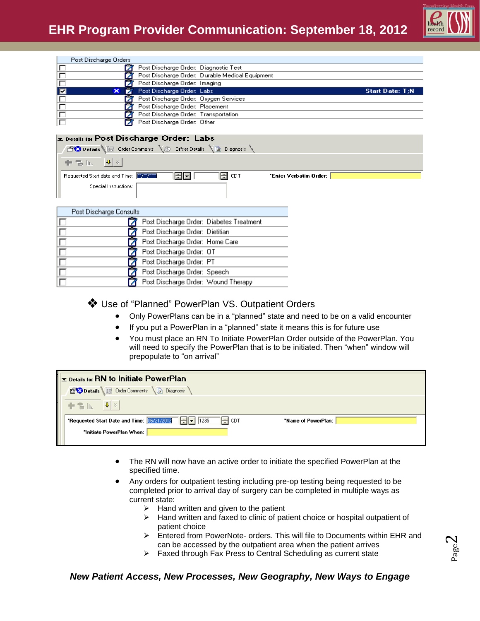

|                | Post Discharge Orders |                                       |                                                 |                        |
|----------------|-----------------------|---------------------------------------|-------------------------------------------------|------------------------|
|                |                       | Post Discharge Order: Diagnostic Test |                                                 |                        |
|                |                       |                                       | Post Discharge Order: Durable Medical Equipment |                        |
|                |                       | Post Discharge Order: Imaging         |                                                 |                        |
| $\blacksquare$ | ×                     | Post Discharge Order: Labs            |                                                 | <b>Start Date: T:N</b> |
|                |                       |                                       |                                                 |                        |
|                |                       | Post Discharge Order: Oxygen Services |                                                 |                        |
|                |                       | Post Discharge Order: Placement       |                                                 |                        |
|                |                       | Post Discharge Order: Transportation  |                                                 |                        |

#### Details for Post Discharge Order: Labs

| <b>Details</b> UF Order Comments <b>OF Offset Details</b> In Diagnosis             |     |       |                        |  |
|------------------------------------------------------------------------------------|-----|-------|------------------------|--|
| $\mathbf{r} = \mathbf{r}_{\text{min}} - \mathbf{v} \times \mathbf{r}_{\text{max}}$ |     |       |                        |  |
| Requested Start date and Time:   23/23/2333                                        | HIT | H CDT | *Enter Verbatim Order: |  |
| Special Instructions:                                                              |     |       |                        |  |

| Post Discharge Consults |                                          |  |
|-------------------------|------------------------------------------|--|
|                         | Post Discharge Order: Diabetes Treatment |  |
|                         | Post Discharge Order: Dietitian          |  |
|                         | Post Discharge Order: Home Care          |  |
|                         | Post Discharge Order: OT                 |  |
|                         | Post Discharge Order: PT                 |  |
|                         | Post Discharge Order: Speech             |  |
|                         | Post Discharge Order: Wound Therapy      |  |

Use of "Planned" PowerPlan VS. Outpatient Orders

- Only PowerPlans can be in a "planned" state and need to be on a valid encounter
- If you put a PowerPlan in a "planned" state it means this is for future use
- You must place an RN To Initiate PowerPlan Order outside of the PowerPlan. You will need to specify the PowerPlan that is to be initiated. Then "when" window will prepopulate to "on arrival"

| $\mathbf{r}$ Details for RN to Initiate PowerPlan                                                 |                     |
|---------------------------------------------------------------------------------------------------|---------------------|
| Details Order Comments and Diagnosis                                                              |                     |
| $\frac{1}{2}$ $\frac{1}{2}$ $\frac{1}{2}$ $\frac{1}{2}$ $\frac{1}{2}$ $\frac{1}{2}$               |                     |
| <b>*Requested Start Date and Time:</b> $\boxed{06/21/2012}$ $\boxed{\div}$ 7   1235<br>$\div$ CDT | *Name of PowerPlan: |
| "Initiate PowerPlan When:                                                                         |                     |
|                                                                                                   |                     |

- The RN will now have an active order to initiate the specified PowerPlan at the specified time.
- Any orders for outpatient testing including pre-op testing being requested to be completed prior to arrival day of surgery can be completed in multiple ways as current state:
	- $\triangleright$  Hand written and given to the patient
	- $\triangleright$  Hand written and faxed to clinic of patient choice or hospital outpatient of patient choice
	- $\triangleright$  Entered from PowerNote- orders. This will file to Documents within EHR and can be accessed by the outpatient area when the patient arrives
	- $\triangleright$  Faxed through Fax Press to Central Scheduling as current state

### *New Patient Access, New Processes, New Geography, New Ways to Engage*

Page  $\boldsymbol{\sim}$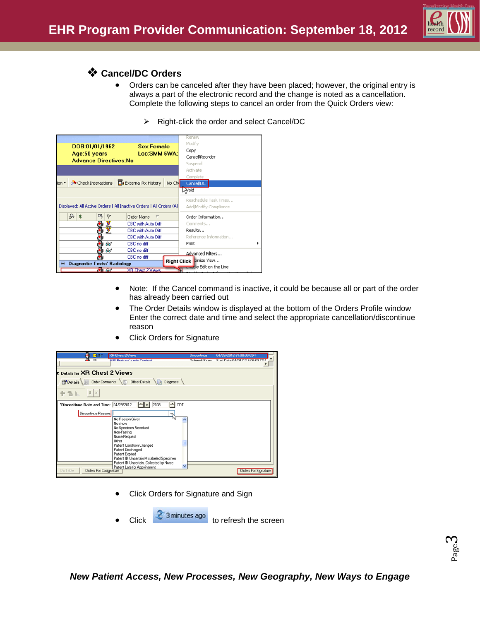

## **Cancel/DC Orders**

- Orders can be canceled after they have been placed; however, the original entry is always a part of the electronic record and the change is noted as a cancellation. Complete the following steps to cancel an order from the Quick Orders view:
	- $\triangleright$  Right-click the order and select Cancel/DC

| DOB:01/01/1962<br>Age:50 years<br><b>Advance Directives:No</b> | Sex:Female<br>Loc:SMM 6WA:                                           | Renew<br>Modify<br>Copy<br>Cancel/Reorder<br>Suspend<br>Activate |
|----------------------------------------------------------------|----------------------------------------------------------------------|------------------------------------------------------------------|
| $\overline{\text{on}}$                                         | <b>Check Interactions Te</b> External Rx History<br>No Chi           | Complete<br>Cancel/DC<br><b>bioV<sub>N</sub></b>                 |
|                                                                | Displayed: All Active Orders   All Inactive Orders   All Orders (All | Reschedule Task Times<br>Add/Modify Compliance                   |
| 88<br>吗<br>v                                                   | Order Name<br>$\sqrt{ }$                                             | Order Information                                                |
| $\mathbf{r}$                                                   | CBC with Auto Diff                                                   | Comments                                                         |
| 芝                                                              | CBC with Auto Diff                                                   | Results                                                          |
|                                                                | CBC with Auto Diff                                                   | Reference Information                                            |
| ୫୶                                                             | CBC no diff                                                          | Print                                                            |
| 66                                                             | CBC no diff                                                          | Advanced Filters                                                 |
|                                                                | CBC no diff                                                          |                                                                  |
| <b>Diagnostic Tests/ Radiology</b>                             |                                                                      | Right Click tomize View<br>anable Edit on the Line               |
| Ha Az                                                          | <b>XR Chest 2 Views</b>                                              |                                                                  |

- Note: If the Cancel command is inactive, it could be because all or part of the order has already been carried out
- The Order Details window is displayed at the bottom of the Orders Profile window Enter the correct date and time and select the appropriate cancellation/discontinue reason

| 肺 四分                                         | XR Chest 2 Views                                        | Discontinue           | 04/29/2012 21:08:00 CDT        |
|----------------------------------------------|---------------------------------------------------------|-----------------------|--------------------------------|
| <b>GL D</b>                                  | MRI Reain out a outo Contract                           | <b>Ordered (Fusey</b> | Start Diate 04/04/12 @0@00 CDT |
| <b>Z</b> Details for <b>XR Chest 2 Views</b> |                                                         |                       |                                |
|                                              | Details UE Order Comments ( Offset Details IF Diagnosis |                       |                                |
| $+$ 2 kg $+$ $\approx$                       |                                                         |                       |                                |
| "Discontinue Date and Time: 04/29/2012       | ÷<br>$  \cdot  $<br>2108<br>CDT                         |                       |                                |
| Discontinue Reason:                          | No Reason Given                                         |                       |                                |
|                                              | No show                                                 |                       |                                |
|                                              | No Specimen Received<br>Non-Fasting                     |                       |                                |
|                                              | Nurse Request<br>Other                                  |                       |                                |
|                                              | Patient Condition Changed                               |                       |                                |
|                                              | Patient Discharged<br>Patient Expired                   |                       |                                |
|                                              | Patient ID Uncertain Mislabeled Specimen                |                       |                                |
|                                              | Patient ID Uncertain, Collected by Nurse                |                       |                                |
| <b>Orders For Cosignature</b><br>Dx Table    | Patient Late for Appointment                            |                       | <b>Orders For Signature</b>    |

Click Orders for Signature

- Click Orders for Signature and Sign
- $\frac{1}{2}$  3 minutes ago to refresh the screen